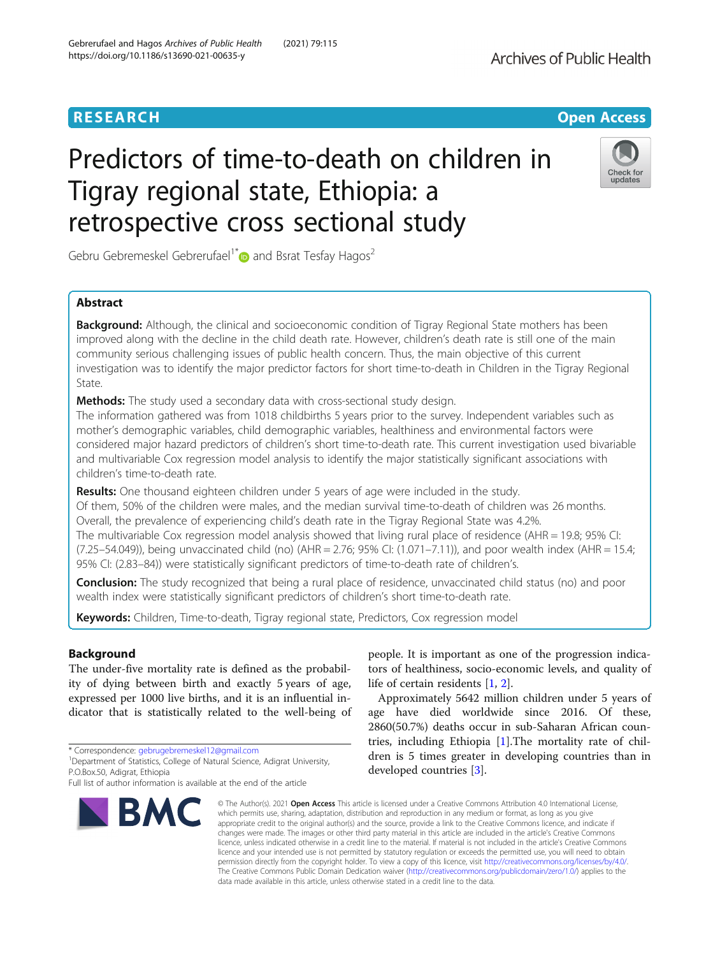# **RESEARCH CHEAR CHEAR CHEAR CHEAR CHEAR CHEAR CHEAR CHEAR CHEAR CHEAR CHEAR CHEAR CHEAR CHEAR CHEAR CHEAR CHEAR**

# Predictors of time-to-death on children in Tigray regional state, Ethiopia: a retrospective cross sectional study



Gebru Gebremeskel Gebrerufael<sup>1\*</sup> and Bsrat Tesfay Hagos<sup>2</sup>

# Abstract

**Background:** Although, the clinical and socioeconomic condition of Tigray Regional State mothers has been improved along with the decline in the child death rate. However, children's death rate is still one of the main community serious challenging issues of public health concern. Thus, the main objective of this current investigation was to identify the major predictor factors for short time-to-death in Children in the Tigray Regional State.

Methods: The study used a secondary data with cross-sectional study design.

The information gathered was from 1018 childbirths 5 years prior to the survey. Independent variables such as mother's demographic variables, child demographic variables, healthiness and environmental factors were considered major hazard predictors of children's short time-to-death rate. This current investigation used bivariable and multivariable Cox regression model analysis to identify the major statistically significant associations with children's time-to-death rate.

Results: One thousand eighteen children under 5 years of age were included in the study. Of them, 50% of the children were males, and the median survival time-to-death of children was 26 months. Overall, the prevalence of experiencing child's death rate in the Tigray Regional State was 4.2%. The multivariable Cox regression model analysis showed that living rural place of residence (AHR = 19.8; 95% CI: (7.25–54.049)), being unvaccinated child (no) (AHR = 2.76; 95% CI: (1.071–7.11)), and poor wealth index (AHR = 15.4; 95% CI: (2.83–84)) were statistically significant predictors of time-to-death rate of children's.

Conclusion: The study recognized that being a rural place of residence, unvaccinated child status (no) and poor wealth index were statistically significant predictors of children's short time-to-death rate.

Keywords: Children, Time-to-death, Tigray regional state, Predictors, Cox regression model

# Background

The under-five mortality rate is defined as the probability of dying between birth and exactly 5 years of age, expressed per 1000 live births, and it is an influential indicator that is statistically related to the well-being of

\* Correspondence: [gebrugebremeskel12@gmail.com](mailto:gebrugebremeskel12@gmail.com) <sup>1</sup>

<sup>1</sup>Department of Statistics, College of Natural Science, Adigrat University, P.O.Box.50, Adigrat, Ethiopia

Full list of author information is available at the end of the article



people. It is important as one of the progression indicators of healthiness, socio-economic levels, and quality of life of certain residents [\[1](#page-6-0), [2](#page-6-0)].

Approximately 5642 million children under 5 years of age have died worldwide since 2016. Of these, 2860(50.7%) deaths occur in sub-Saharan African countries, including Ethiopia [[1\]](#page-6-0).The mortality rate of children is 5 times greater in developing countries than in developed countries [[3\]](#page-6-0).

© The Author(s), 2021 **Open Access** This article is licensed under a Creative Commons Attribution 4.0 International License, which permits use, sharing, adaptation, distribution and reproduction in any medium or format, as long as you give appropriate credit to the original author(s) and the source, provide a link to the Creative Commons licence, and indicate if changes were made. The images or other third party material in this article are included in the article's Creative Commons licence, unless indicated otherwise in a credit line to the material. If material is not included in the article's Creative Commons licence and your intended use is not permitted by statutory regulation or exceeds the permitted use, you will need to obtain permission directly from the copyright holder. To view a copy of this licence, visit [http://creativecommons.org/licenses/by/4.0/.](http://creativecommons.org/licenses/by/4.0/) The Creative Commons Public Domain Dedication waiver [\(http://creativecommons.org/publicdomain/zero/1.0/](http://creativecommons.org/publicdomain/zero/1.0/)) applies to the data made available in this article, unless otherwise stated in a credit line to the data.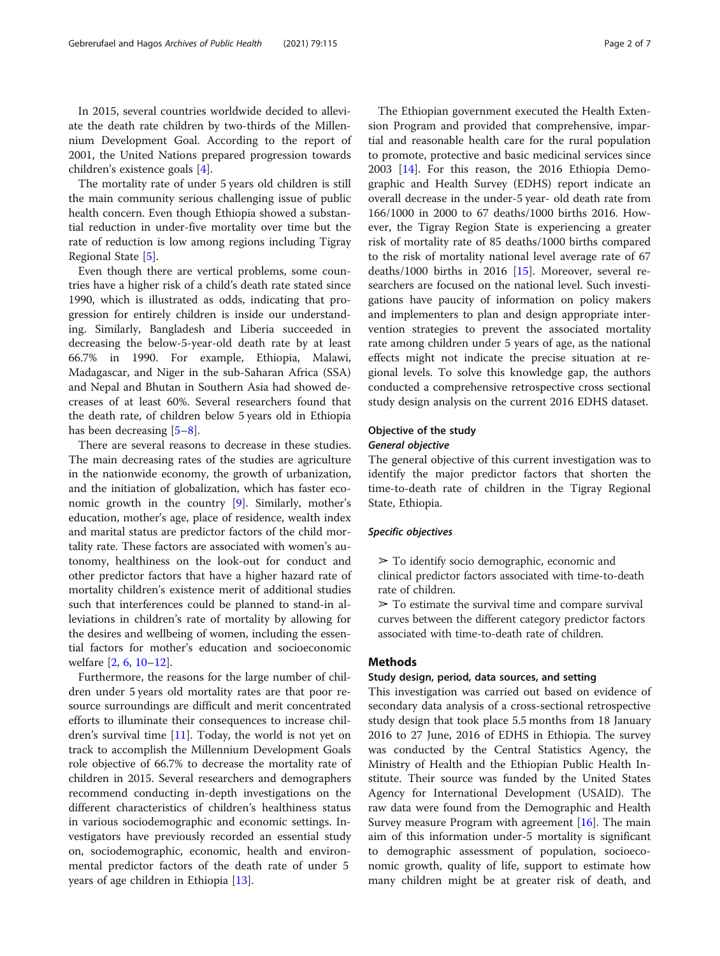In 2015, several countries worldwide decided to alleviate the death rate children by two-thirds of the Millennium Development Goal. According to the report of 2001, the United Nations prepared progression towards children's existence goals [[4\]](#page-6-0).

The mortality rate of under 5 years old children is still the main community serious challenging issue of public health concern. Even though Ethiopia showed a substantial reduction in under-five mortality over time but the rate of reduction is low among regions including Tigray Regional State [\[5\]](#page-6-0).

Even though there are vertical problems, some countries have a higher risk of a child's death rate stated since 1990, which is illustrated as odds, indicating that progression for entirely children is inside our understanding. Similarly, Bangladesh and Liberia succeeded in decreasing the below-5-year-old death rate by at least 66.7% in 1990. For example, Ethiopia, Malawi, Madagascar, and Niger in the sub-Saharan Africa (SSA) and Nepal and Bhutan in Southern Asia had showed decreases of at least 60%. Several researchers found that the death rate, of children below 5 years old in Ethiopia has been decreasing [\[5](#page-6-0)–[8](#page-6-0)].

There are several reasons to decrease in these studies. The main decreasing rates of the studies are agriculture in the nationwide economy, the growth of urbanization, and the initiation of globalization, which has faster economic growth in the country [\[9](#page-6-0)]. Similarly, mother's education, mother's age, place of residence, wealth index and marital status are predictor factors of the child mortality rate. These factors are associated with women's autonomy, healthiness on the look-out for conduct and other predictor factors that have a higher hazard rate of mortality children's existence merit of additional studies such that interferences could be planned to stand-in alleviations in children's rate of mortality by allowing for the desires and wellbeing of women, including the essential factors for mother's education and socioeconomic welfare [[2,](#page-6-0) [6,](#page-6-0) [10](#page-6-0)–[12](#page-6-0)].

Furthermore, the reasons for the large number of children under 5 years old mortality rates are that poor resource surroundings are difficult and merit concentrated efforts to illuminate their consequences to increase children's survival time  $[11]$  $[11]$ . Today, the world is not yet on track to accomplish the Millennium Development Goals role objective of 66.7% to decrease the mortality rate of children in 2015. Several researchers and demographers recommend conducting in-depth investigations on the different characteristics of children's healthiness status in various sociodemographic and economic settings. Investigators have previously recorded an essential study on, sociodemographic, economic, health and environmental predictor factors of the death rate of under 5 years of age children in Ethiopia [\[13\]](#page-6-0).

The Ethiopian government executed the Health Extension Program and provided that comprehensive, impartial and reasonable health care for the rural population to promote, protective and basic medicinal services since 2003 [[14\]](#page-6-0). For this reason, the 2016 Ethiopia Demographic and Health Survey (EDHS) report indicate an overall decrease in the under-5 year- old death rate from 166/1000 in 2000 to 67 deaths/1000 births 2016. However, the Tigray Region State is experiencing a greater risk of mortality rate of 85 deaths/1000 births compared to the risk of mortality national level average rate of 67 deaths/1000 births in 2016 [[15](#page-6-0)]. Moreover, several researchers are focused on the national level. Such investigations have paucity of information on policy makers and implementers to plan and design appropriate intervention strategies to prevent the associated mortality rate among children under 5 years of age, as the national effects might not indicate the precise situation at regional levels. To solve this knowledge gap, the authors conducted a comprehensive retrospective cross sectional study design analysis on the current 2016 EDHS dataset.

## Objective of the study

# General objective

The general objective of this current investigation was to identify the major predictor factors that shorten the time-to-death rate of children in the Tigray Regional State, Ethiopia.

## Specific objectives

- $\geq$  To identify socio demographic, economic and
- clinical predictor factors associated with time-to-death rate of children.
- $\triangleright$  To estimate the survival time and compare survival curves between the different category predictor factors associated with time-to-death rate of children.

#### Methods

#### Study design, period, data sources, and setting

This investigation was carried out based on evidence of secondary data analysis of a cross-sectional retrospective study design that took place 5.5 months from 18 January 2016 to 27 June, 2016 of EDHS in Ethiopia. The survey was conducted by the Central Statistics Agency, the Ministry of Health and the Ethiopian Public Health Institute. Their source was funded by the United States Agency for International Development (USAID). The raw data were found from the Demographic and Health Survey measure Program with agreement [[16](#page-6-0)]. The main aim of this information under-5 mortality is significant to demographic assessment of population, socioeconomic growth, quality of life, support to estimate how many children might be at greater risk of death, and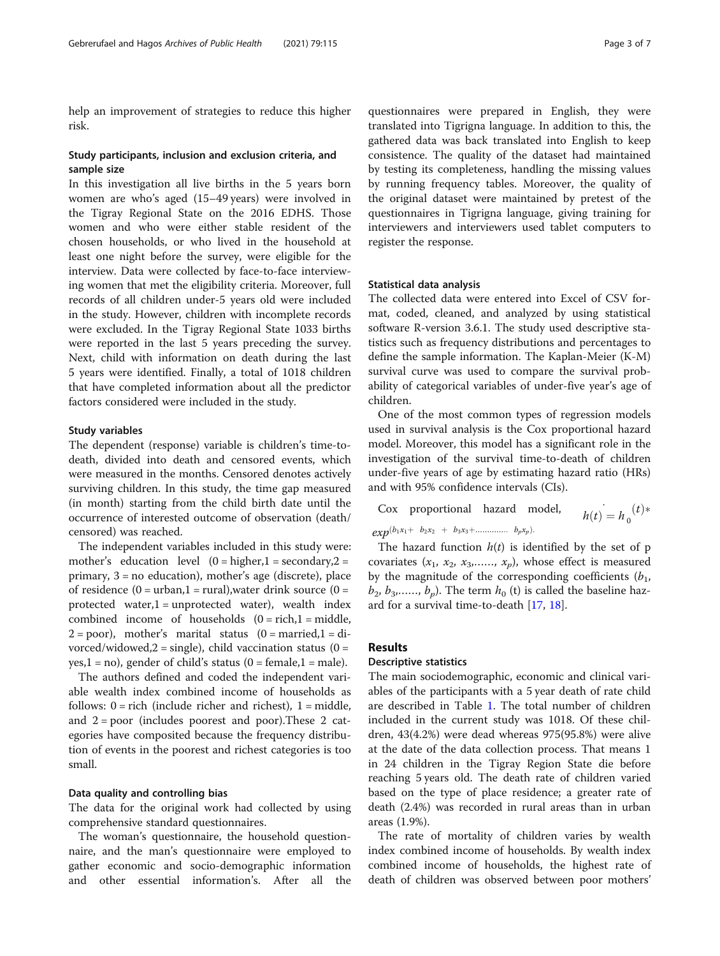help an improvement of strategies to reduce this higher risk.

## Study participants, inclusion and exclusion criteria, and sample size

In this investigation all live births in the 5 years born women are who's aged (15–49 years) were involved in the Tigray Regional State on the 2016 EDHS. Those women and who were either stable resident of the chosen households, or who lived in the household at least one night before the survey, were eligible for the interview. Data were collected by face-to-face interviewing women that met the eligibility criteria. Moreover, full records of all children under-5 years old were included in the study. However, children with incomplete records were excluded. In the Tigray Regional State 1033 births were reported in the last 5 years preceding the survey. Next, child with information on death during the last 5 years were identified. Finally, a total of 1018 children that have completed information about all the predictor factors considered were included in the study.

#### Study variables

The dependent (response) variable is children's time-todeath, divided into death and censored events, which were measured in the months. Censored denotes actively surviving children. In this study, the time gap measured (in month) starting from the child birth date until the occurrence of interested outcome of observation (death/ censored) was reached.

The independent variables included in this study were: mother's education level  $(0 = higher, 1 = secondary, 2 =$ primary, 3 = no education), mother's age (discrete), place of residence  $(0 =$  urban, $1 =$  rural), water drink source  $(0 =$ protected water, $1 =$ unprotected water), wealth index combined income of households  $(0 = rich, 1 = middle,$  $2 = poor$ ), mother's marital status  $(0 = married, 1 = di$ vorced/widowed, $2 = \text{single}$ ), child vaccination status (0 =  $yes, 1 = no$ , gender of child's status (0 = female, 1 = male).

The authors defined and coded the independent variable wealth index combined income of households as follows:  $0 =$  rich (include richer and richest),  $1 =$  middle, and 2 = poor (includes poorest and poor).These 2 categories have composited because the frequency distribution of events in the poorest and richest categories is too small.

#### Data quality and controlling bias

The data for the original work had collected by using comprehensive standard questionnaires.

The woman's questionnaire, the household questionnaire, and the man's questionnaire were employed to gather economic and socio-demographic information and other essential information's. After all the questionnaires were prepared in English, they were translated into Tigrigna language. In addition to this, the gathered data was back translated into English to keep consistence. The quality of the dataset had maintained by testing its completeness, handling the missing values by running frequency tables. Moreover, the quality of the original dataset were maintained by pretest of the questionnaires in Tigrigna language, giving training for interviewers and interviewers used tablet computers to register the response.

#### Statistical data analysis

The collected data were entered into Excel of CSV format, coded, cleaned, and analyzed by using statistical software R-version 3.6.1. The study used descriptive statistics such as frequency distributions and percentages to define the sample information. The Kaplan-Meier (K-M) survival curve was used to compare the survival probability of categorical variables of under-five year's age of children.

One of the most common types of regression models used in survival analysis is the Cox proportional hazard model. Moreover, this model has a significant role in the investigation of the survival time-to-death of children under-five years of age by estimating hazard ratio (HRs) and with 95% confidence intervals (CIs).

Cox proportional hazard model, 
$$
h(t) = h_0(t) * exp^{(b_1x_1 + b_2x_2 + b_3x_3 + \dots + b_px_p)}.
$$

The hazard function  $h(t)$  is identified by the set of p covariates  $(x_1, x_2, x_3, \ldots, x_p)$ , whose effect is measured by the magnitude of the corresponding coefficients  $(b_1, b_2)$  $b_2, b_3, \ldots, b_n$ ). The term  $h_0$  (t) is called the baseline hazard for a survival time-to-death [\[17](#page-6-0), [18](#page-6-0)].

# Results

## Descriptive statistics

The main sociodemographic, economic and clinical variables of the participants with a 5 year death of rate child are described in Table [1.](#page-3-0) The total number of children included in the current study was 1018. Of these children, 43(4.2%) were dead whereas 975(95.8%) were alive at the date of the data collection process. That means 1 in 24 children in the Tigray Region State die before reaching 5 years old. The death rate of children varied based on the type of place residence; a greater rate of death (2.4%) was recorded in rural areas than in urban areas (1.9%).

The rate of mortality of children varies by wealth index combined income of households. By wealth index combined income of households, the highest rate of death of children was observed between poor mothers'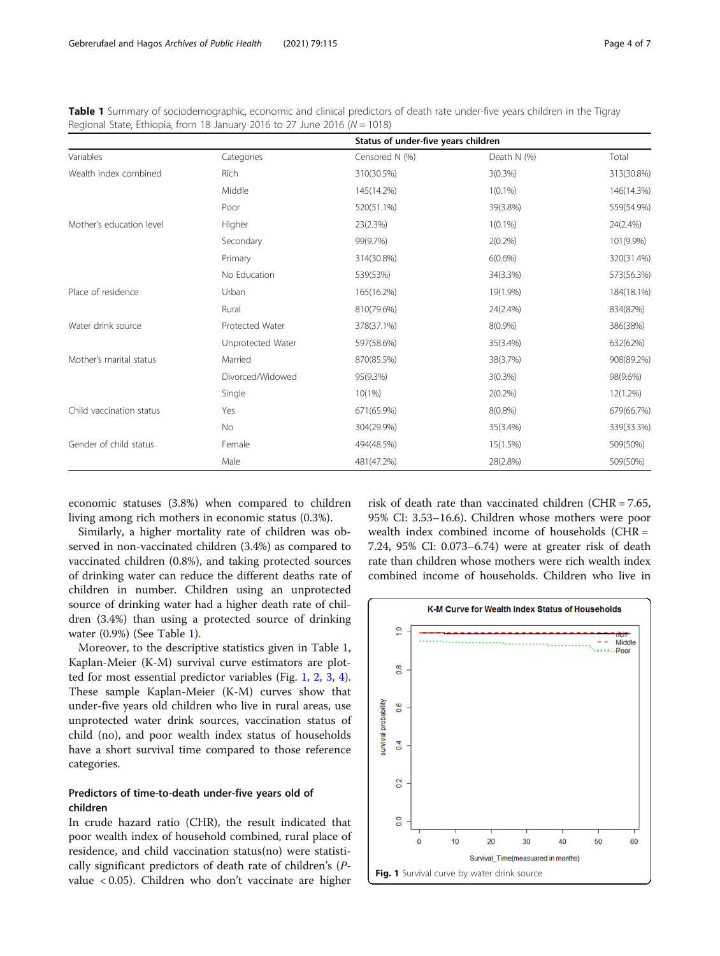<span id="page-3-0"></span>Table 1 Summary of sociodemographic, economic and clinical predictors of death rate under-five years children in the Tigray Regional State, Ethiopia, from 18 January 2016 to 27 June 2016 ( $N = 1018$ )

|                          |                   | Status of under-five years children |             |            |  |
|--------------------------|-------------------|-------------------------------------|-------------|------------|--|
| Variables                | Categories        | Censored N (%)                      | Death N (%) | Total      |  |
| Wealth index combined    | Rich              | 310(30.5%)                          | $3(0.3\%)$  | 313(30.8%) |  |
|                          | Middle            | 145(14.2%)                          | $1(0.1\%)$  | 146(14.3%) |  |
|                          | Poor              | 520(51.1%)                          | 39(3.8%)    | 559(54.9%) |  |
| Mother's education level | Higher            | 23(2.3%)                            | $1(0.1\%)$  | 24(2.4%)   |  |
|                          | Secondary         | 99(9.7%)                            | $2(0.2\%)$  | 101(9.9%)  |  |
|                          | Primary           | 314(30.8%)                          | $6(0.6\%)$  | 320(31.4%) |  |
|                          | No Education      | 539(53%)                            | 34(3.3%)    | 573(56.3%) |  |
| Place of residence       | Urban             | 165(16.2%)                          | 19(1.9%)    | 184(18.1%) |  |
|                          | Rural             | 810(79.6%)                          | 24(2.4%)    | 834(82%)   |  |
| Water drink source       | Protected Water   | 378(37.1%)                          | $8(0.9\%)$  | 386(38%)   |  |
|                          | Unprotected Water | 597(58.6%)                          | 35(3.4%)    | 632(62%)   |  |
| Mother's marital status  | Married           | 870(85.5%)                          | 38(3.7%)    | 908(89.2%) |  |
|                          | Divorced/Widowed  | 95(9.3%)                            | $3(0.3\%)$  | 98(9.6%)   |  |
|                          | Single            | 10(1%)                              | $2(0.2\%)$  | 12(1.2%)   |  |
| Child vaccination status | Yes               | 671(65.9%)                          | $8(0.8\%)$  | 679(66.7%) |  |
|                          | <b>No</b>         | 304(29.9%)                          | 35(3.4%)    | 339(33.3%) |  |
| Gender of child status   | Female            | 494(48.5%)                          | 15(1.5%)    | 509(50%)   |  |
|                          | Male              | 481(47.2%)                          | 28(2.8%)    | 509(50%)   |  |

economic statuses (3.8%) when compared to children living among rich mothers in economic status (0.3%).

Similarly, a higher mortality rate of children was observed in non-vaccinated children (3.4%) as compared to vaccinated children (0.8%), and taking protected sources of drinking water can reduce the different deaths rate of children in number. Children using an unprotected source of drinking water had a higher death rate of children (3.4%) than using a protected source of drinking water (0.9%) (See Table 1).

Moreover, to the descriptive statistics given in Table 1, Kaplan-Meier (K-M) survival curve estimators are plotted for most essential predictor variables (Fig. 1, [2,](#page-4-0) [3,](#page-4-0) [4](#page-4-0)). These sample Kaplan-Meier (K-M) curves show that under-five years old children who live in rural areas, use unprotected water drink sources, vaccination status of child (no), and poor wealth index status of households have a short survival time compared to those reference categories.

# Predictors of time-to-death under-five years old of children

In crude hazard ratio (CHR), the result indicated that poor wealth index of household combined, rural place of residence, and child vaccination status(no) were statistically significant predictors of death rate of children's (Pvalue < 0.05). Children who don't vaccinate are higher

risk of death rate than vaccinated children (CHR = 7.65, 95% CI: 3.53–16.6). Children whose mothers were poor wealth index combined income of households (CHR = 7.24, 95% CI: 0.073–6.74) were at greater risk of death rate than children whose mothers were rich wealth index combined income of households. Children who live in

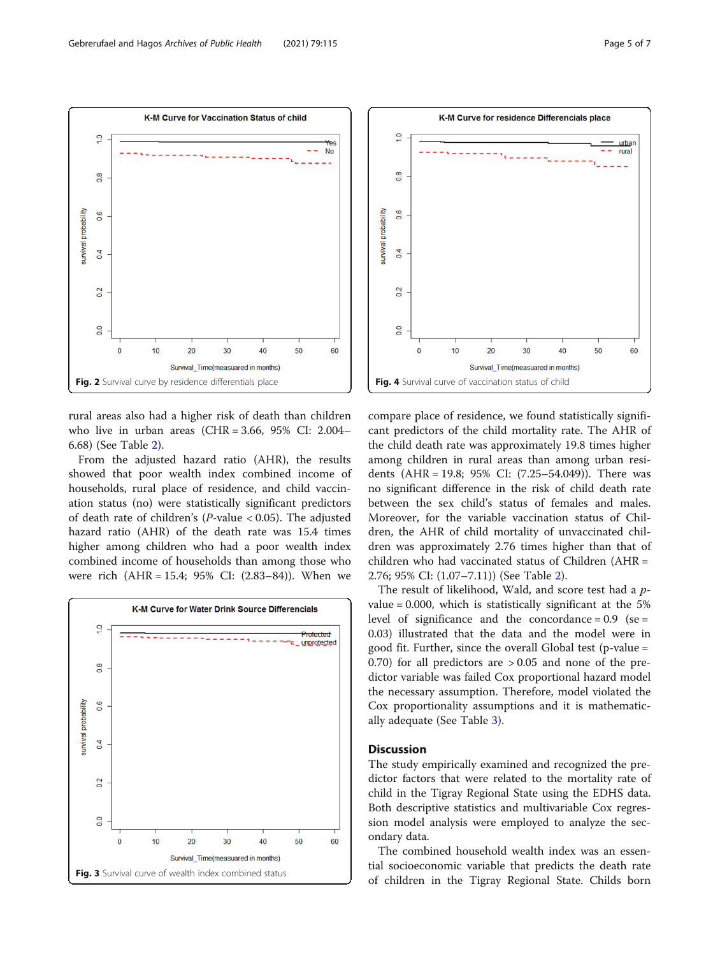<span id="page-4-0"></span> $\overline{a}$ 

 $\frac{8}{2}$ 

0.6

 $\overline{a}$ 

 $0.2$ 

 $\overline{0}$ 

 $\overline{0}$ 

survival probability

K-M Curve for Vaccination Status of child

**No** 



Fig. 2 Survival curve by residence differentials place

20

30

Survival Time(measuared in months)

40

50

60

 $10$ 

From the adjusted hazard ratio (AHR), the results showed that poor wealth index combined income of households, rural place of residence, and child vaccination status (no) were statistically significant predictors of death rate of children's (P-value < 0.05). The adjusted hazard ratio (AHR) of the death rate was 15.4 times higher among children who had a poor wealth index combined income of households than among those who were rich (AHR = 15.4; 95% CI: (2.83–84)). When we





compare place of residence, we found statistically significant predictors of the child mortality rate. The AHR of the child death rate was approximately 19.8 times higher among children in rural areas than among urban residents (AHR = 19.8; 95% CI: (7.25–54.049)). There was no significant difference in the risk of child death rate between the sex child's status of females and males. Moreover, for the variable vaccination status of Children, the AHR of child mortality of unvaccinated children was approximately 2.76 times higher than that of children who had vaccinated status of Children (AHR = 2.76; 95% CI: (1.07–7.11)) (See Table [2](#page-5-0)).

The result of likelihood, Wald, and score test had a pvalue =  $0.000$ , which is statistically significant at the 5% level of significance and the concordance =  $0.9$  (se = 0.03) illustrated that the data and the model were in good fit. Further, since the overall Global test (p-value = 0.70) for all predictors are  $> 0.05$  and none of the predictor variable was failed Cox proportional hazard model the necessary assumption. Therefore, model violated the Cox proportionality assumptions and it is mathematically adequate (See Table [3\)](#page-5-0).

# **Discussion**

The study empirically examined and recognized the predictor factors that were related to the mortality rate of child in the Tigray Regional State using the EDHS data. Both descriptive statistics and multivariable Cox regression model analysis were employed to analyze the secondary data.

The combined household wealth index was an essential socioeconomic variable that predicts the death rate of children in the Tigray Regional State. Childs born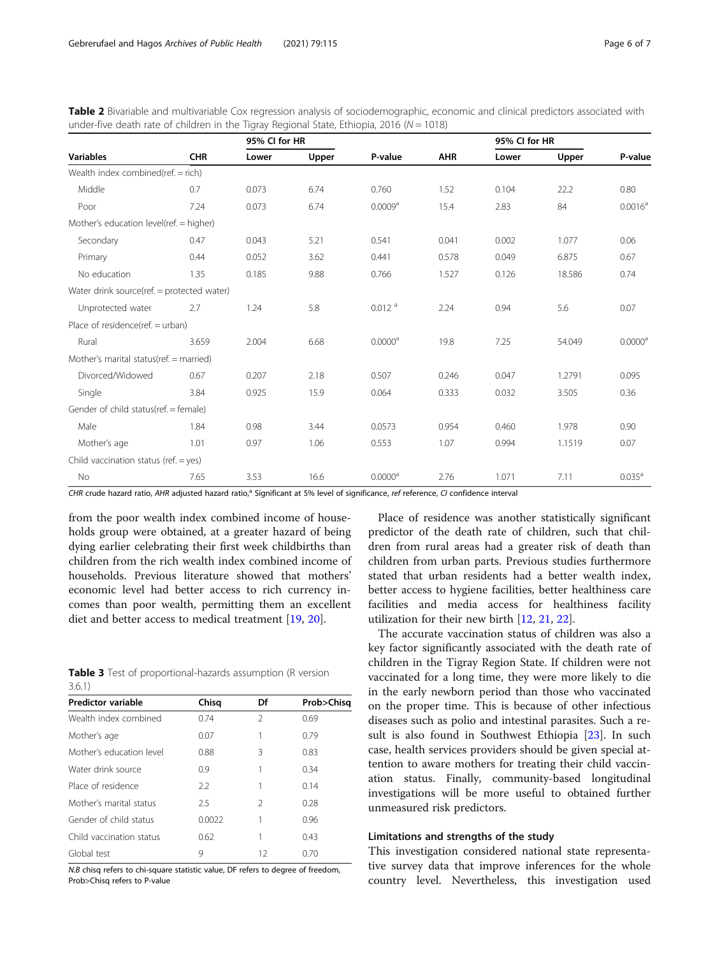|                                            |            |       | 95% CI for HR |                       |            | 95% CI for HR |        |                     |
|--------------------------------------------|------------|-------|---------------|-----------------------|------------|---------------|--------|---------------------|
| <b>Variables</b>                           | <b>CHR</b> | Lower | Upper         | P-value               | <b>AHR</b> | Lower         | Upper  | P-value             |
| Wealth index combined(ref. = rich)         |            |       |               |                       |            |               |        |                     |
| Middle                                     | 0.7        | 0.073 | 6.74          | 0.760                 | 1.52       | 0.104         | 22.2   | 0.80                |
| Poor                                       | 7.24       | 0.073 | 6.74          | 0.0009 <sup>a</sup>   | 15.4       | 2.83          | 84     | $0.0016^a$          |
| Mother's education level(ref. = higher)    |            |       |               |                       |            |               |        |                     |
| Secondary                                  | 0.47       | 0.043 | 5.21          | 0.541                 | 0.041      | 0.002         | 1.077  | 0.06                |
| Primary                                    | 0.44       | 0.052 | 3.62          | 0.441                 | 0.578      | 0.049         | 6.875  | 0.67                |
| No education                               | 1.35       | 0.185 | 9.88          | 0.766                 | 1.527      | 0.126         | 18.586 | 0.74                |
| Water drink source(ref. = protected water) |            |       |               |                       |            |               |        |                     |
| Unprotected water                          | 2.7        | 1.24  | 5.8           | $0.012$ <sup>a</sup>  | 2.24       | 0.94          | 5.6    | 0.07                |
| Place of residence(ref. = urban)           |            |       |               |                       |            |               |        |                     |
| Rural                                      | 3.659      | 2.004 | 6.68          | $0.0000$ <sup>a</sup> | 19.8       | 7.25          | 54.049 | 0.0000 <sup>a</sup> |
| Mother's marital status(ref. = married)    |            |       |               |                       |            |               |        |                     |
| Divorced/Widowed                           | 0.67       | 0.207 | 2.18          | 0.507                 | 0.246      | 0.047         | 1.2791 | 0.095               |
| Single                                     | 3.84       | 0.925 | 15.9          | 0.064                 | 0.333      | 0.032         | 3.505  | 0.36                |
| Gender of child status(ref. = female)      |            |       |               |                       |            |               |        |                     |
| Male                                       | 1.84       | 0.98  | 3.44          | 0.0573                | 0.954      | 0.460         | 1.978  | 0.90                |
| Mother's age                               | 1.01       | 0.97  | 1.06          | 0.553                 | 1.07       | 0.994         | 1.1519 | 0.07                |
| Child vaccination status (ref. = yes)      |            |       |               |                       |            |               |        |                     |
| No                                         | 7.65       | 3.53  | 16.6          | $0.0000$ <sup>a</sup> | 2.76       | 1.071         | 7.11   | $0.035^a$           |

<span id="page-5-0"></span>Table 2 Bivariable and multivariable Cox regression analysis of sociodemographic, economic and clinical predictors associated with under-five death rate of children in the Tigray Regional State, Ethiopia, 2016 ( $N = 1018$ )

CHR crude hazard ratio, AHR adjusted hazard ratio,<sup>a</sup> Significant at 5% level of significance, ref reference, CI confidence interval

from the poor wealth index combined income of households group were obtained, at a greater hazard of being dying earlier celebrating their first week childbirths than children from the rich wealth index combined income of households. Previous literature showed that mothers' economic level had better access to rich currency incomes than poor wealth, permitting them an excellent diet and better access to medical treatment [[19,](#page-6-0) [20\]](#page-6-0).

|        |  |  | Table 3 Test of proportional-hazards assumption (R version |  |
|--------|--|--|------------------------------------------------------------|--|
| 3.6.1) |  |  |                                                            |  |

| <b>Predictor variable</b> | Chisq  | Df             | Prob>Chisg |
|---------------------------|--------|----------------|------------|
| Wealth index combined     | 0.74   | $\mathfrak{D}$ | 0.69       |
| Mother's age              | 0.07   | 1              | 0.79       |
| Mother's education level  | 0.88   | 3              | 0.83       |
| Water drink source        | 0.9    | 1              | 0.34       |
| Place of residence        | 2.2    | 1              | 0.14       |
| Mother's marital status   | 2.5    | 2              | 0.28       |
| Gender of child status    | 0.0022 |                | 0.96       |
| Child vaccination status  | 0.62   | 1              | 0.43       |
| Global test               | 9      | 12             | 0.70       |

N.B chisq refers to chi-square statistic value, DF refers to degree of freedom, Prob>Chisq refers to P-value

Place of residence was another statistically significant predictor of the death rate of children, such that children from rural areas had a greater risk of death than children from urban parts. Previous studies furthermore stated that urban residents had a better wealth index, better access to hygiene facilities, better healthiness care facilities and media access for healthiness facility utilization for their new birth [[12,](#page-6-0) [21,](#page-6-0) [22\]](#page-6-0).

The accurate vaccination status of children was also a key factor significantly associated with the death rate of children in the Tigray Region State. If children were not vaccinated for a long time, they were more likely to die in the early newborn period than those who vaccinated on the proper time. This is because of other infectious diseases such as polio and intestinal parasites. Such a result is also found in Southwest Ethiopia [\[23](#page-6-0)]. In such case, health services providers should be given special attention to aware mothers for treating their child vaccination status. Finally, community-based longitudinal investigations will be more useful to obtained further unmeasured risk predictors.

### Limitations and strengths of the study

This investigation considered national state representative survey data that improve inferences for the whole country level. Nevertheless, this investigation used